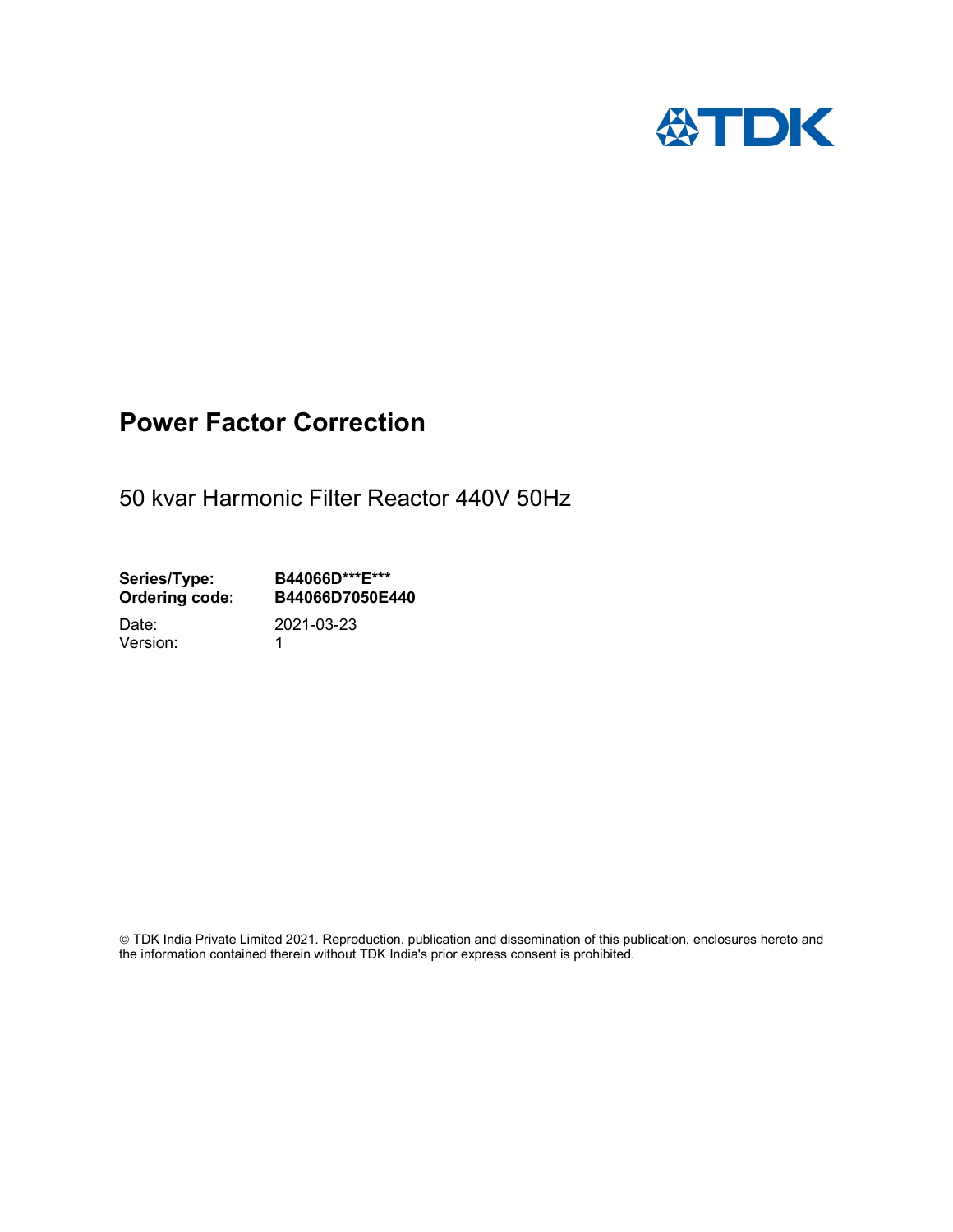

# Power Factor Correction

50 kvar Harmonic Filter Reactor 440V 50Hz

Series/Type: B44066D\*\*\*E\*\*\*<br>Ordering code: B44066D7050E4 B44066D7050E440

Version: 1

Date: 2021-03-23

 TDK India Private Limited 2021. Reproduction, publication and dissemination of this publication, enclosures hereto and the information contained therein without TDK India's prior express consent is prohibited.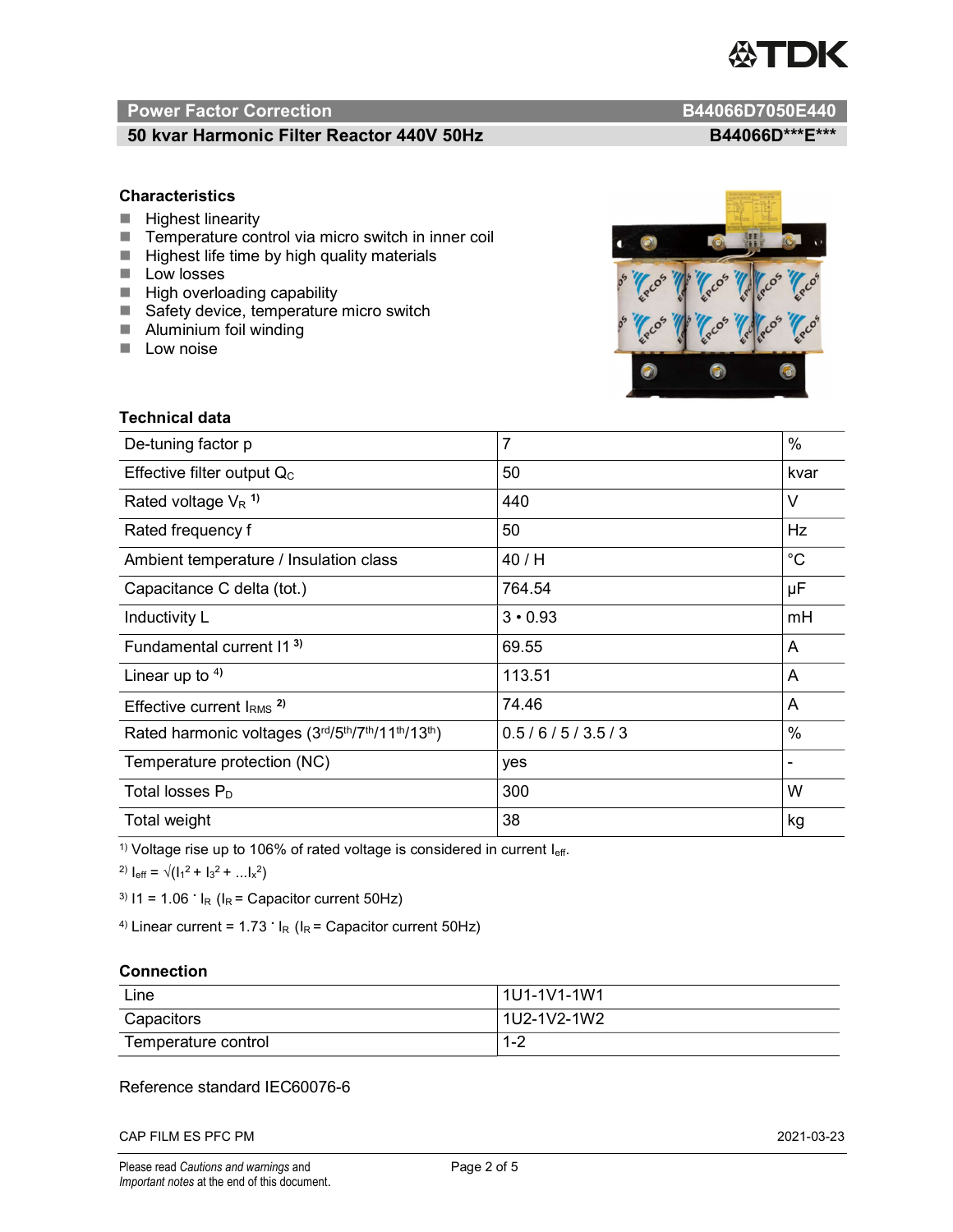

# Power Factor Correction and Content of the Content of the B44066D7050E440

# 50 kvar Harmonic Filter Reactor 440V 50Hz BA4066D\*\*\*E\*\*\*

### **Characteristics**

- $H$  Highest linearity
- Temperature control via micro switch in inner coil
- $\blacksquare$  Highest life time by high quality materials
- **Low losses**
- $\blacksquare$  High overloading capability
- Safety device, temperature micro switch
- **Aluminium foil winding**
- **Low noise**



| Technical data                                  |                |                              |  |
|-------------------------------------------------|----------------|------------------------------|--|
| De-tuning factor p                              | $\overline{7}$ | $\%$                         |  |
| Effective filter output $Q_C$                   | 50             | kvar                         |  |
| Rated voltage $V_R$ <sup>1)</sup>               | 440            | V                            |  |
| Rated frequency f                               | 50             | <b>Hz</b>                    |  |
| Ambient temperature / Insulation class          | 40 / H         | $^{\circ}C$                  |  |
| Capacitance C delta (tot.)                      | 764.54         | μF                           |  |
| Inductivity L                                   | $3 \cdot 0.93$ | mH                           |  |
| Fundamental current 11 <sup>3)</sup>            | 69.55          | A                            |  |
| Linear up to $4$ )                              | 113.51         | A                            |  |
| Effective current $IRMS$ <sup>2)</sup>          | 74.46          | A                            |  |
| Rated harmonic voltages (3rd/5th/7th/11th/13th) | 0.5/6/5/3.5/3  | %                            |  |
| Temperature protection (NC)                     | yes            | $\qquad \qquad \blacksquare$ |  |
| Total losses $P_D$                              | 300            | W                            |  |
| Total weight                                    | 38             | kg                           |  |

<sup>1)</sup> Voltage rise up to 106% of rated voltage is considered in current  $I_{\text{eff}}$ .

<sup>2)</sup>  $I_{eff} = \sqrt{(I_1^2 + I_3^2 + ... I_x^2)}$ 

<sup>3)</sup>  $11 = 1.06$   $\cdot$   $I_R$  ( $I_R$  = Capacitor current 50Hz)

<sup>4)</sup> Linear current =  $1.73$   $\cdot$  I<sub>R</sub> (I<sub>R</sub> = Capacitor current 50Hz)

#### **Connection**

| Line                | l 1U1-1V1-1W1       |
|---------------------|---------------------|
| Capacitors          | l 1U2-1V2-1W2       |
| Temperature control | <u> 4 ຕ</u><br>ے- ا |

## Reference standard IEC60076-6

CAP FILM ES PFC PM 2021-03-23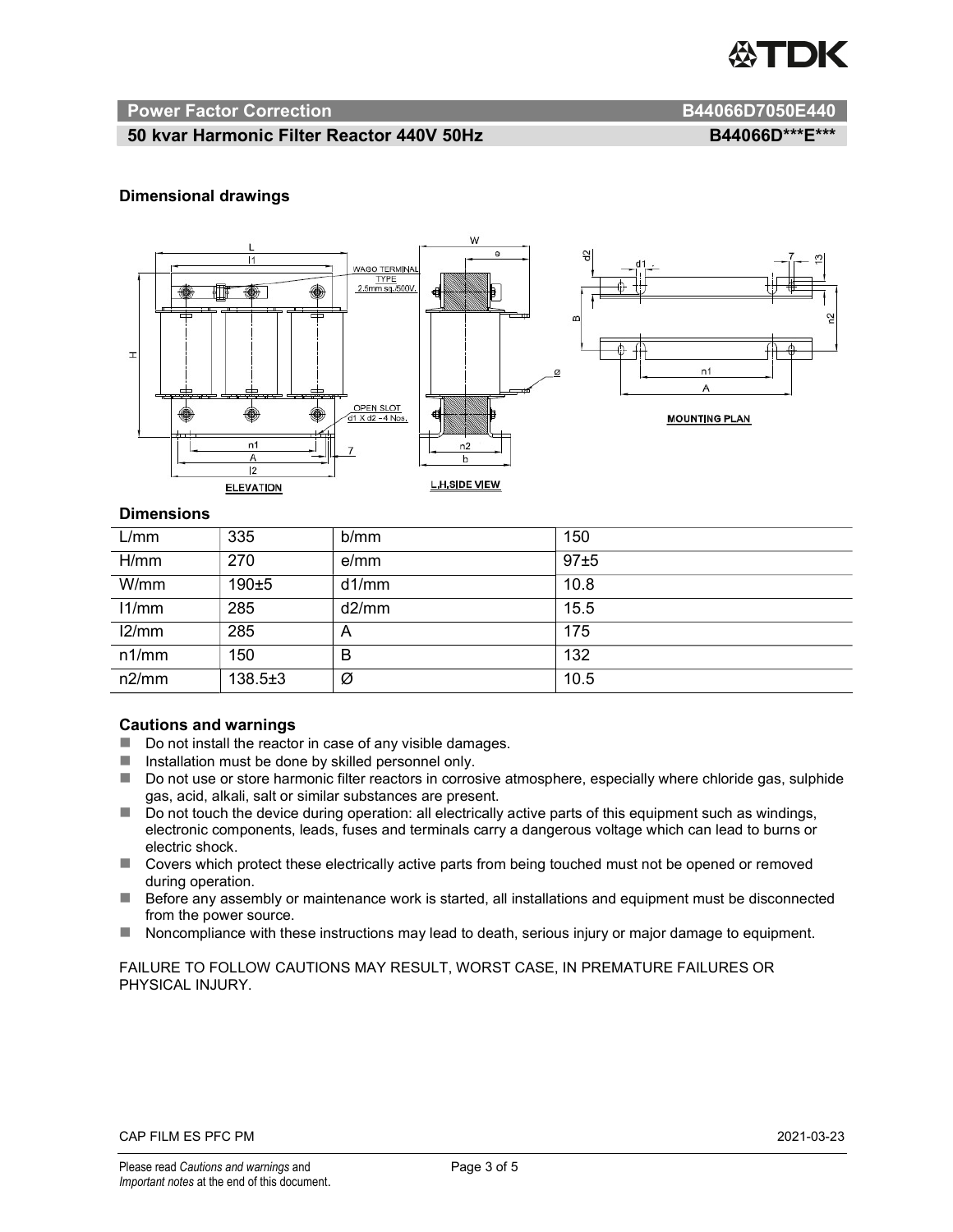

#### Power Factor Correction and B44066D7050E440

# 50 kvar Harmonic Filter Reactor 440V 50Hz BA4066D\*\*\*E\*\*\*

#### Dimensional drawings



#### **Dimensions**

| L/mm  | 335         | b/mm  | 150  |
|-------|-------------|-------|------|
| H/mm  | 270         | e/mm  | 97±5 |
| W/mm  | $190 + 5$   | d1/mm | 10.8 |
| 11/mm | 285         | d2/mm | 15.5 |
| 12/mm | 285         | A     | 175  |
| n1/mm | 150         | B     | 132  |
| n2/mm | $138.5 + 3$ | Ø     | 10.5 |

#### Cautions and warnings

- Do not install the reactor in case of any visible damages.
- $\blacksquare$  Installation must be done by skilled personnel only.
- Do not use or store harmonic filter reactors in corrosive atmosphere, especially where chloride gas, sulphide gas, acid, alkali, salt or similar substances are present.
- Do not touch the device during operation: all electrically active parts of this equipment such as windings, electronic components, leads, fuses and terminals carry a dangerous voltage which can lead to burns or electric shock.
- Covers which protect these electrically active parts from being touched must not be opened or removed during operation.
- Before any assembly or maintenance work is started, all installations and equipment must be disconnected from the power source.
- Noncompliance with these instructions may lead to death, serious injury or major damage to equipment.

FAILURE TO FOLLOW CAUTIONS MAY RESULT, WORST CASE, IN PREMATURE FAILURES OR PHYSICAL INJURY.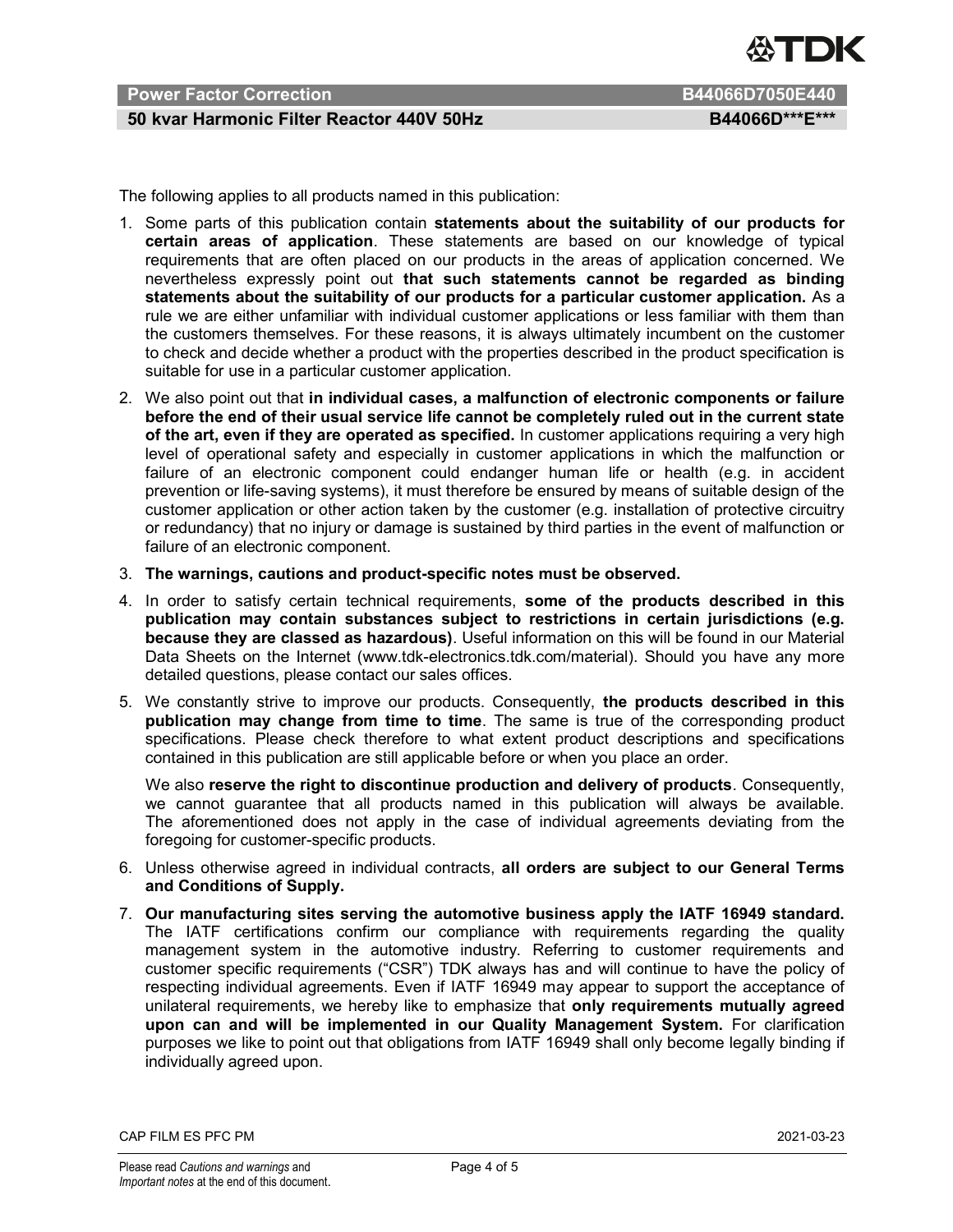

# Power Factor Correction **B44066D7050E440**

# 50 kvar Harmonic Filter Reactor 440V 50Hz BA4066D\*\*\*E\*\*\*

The following applies to all products named in this publication:

- 1. Some parts of this publication contain statements about the suitability of our products for certain areas of application. These statements are based on our knowledge of typical requirements that are often placed on our products in the areas of application concerned. We nevertheless expressly point out that such statements cannot be regarded as binding statements about the suitability of our products for a particular customer application. As a rule we are either unfamiliar with individual customer applications or less familiar with them than the customers themselves. For these reasons, it is always ultimately incumbent on the customer to check and decide whether a product with the properties described in the product specification is suitable for use in a particular customer application.
- 2. We also point out that in individual cases, a malfunction of electronic components or failure before the end of their usual service life cannot be completely ruled out in the current state of the art, even if they are operated as specified. In customer applications requiring a very high level of operational safety and especially in customer applications in which the malfunction or failure of an electronic component could endanger human life or health (e.g. in accident prevention or life-saving systems), it must therefore be ensured by means of suitable design of the customer application or other action taken by the customer (e.g. installation of protective circuitry or redundancy) that no injury or damage is sustained by third parties in the event of malfunction or failure of an electronic component.
- 3. The warnings, cautions and product-specific notes must be observed.
- 4. In order to satisfy certain technical requirements, some of the products described in this publication may contain substances subject to restrictions in certain jurisdictions (e.g. because they are classed as hazardous). Useful information on this will be found in our Material Data Sheets on the Internet (www.tdk-electronics.tdk.com/material). Should you have any more detailed questions, please contact our sales offices.
- 5. We constantly strive to improve our products. Consequently, the products described in this publication may change from time to time. The same is true of the corresponding product specifications. Please check therefore to what extent product descriptions and specifications contained in this publication are still applicable before or when you place an order.

We also reserve the right to discontinue production and delivery of products. Consequently, we cannot guarantee that all products named in this publication will always be available. The aforementioned does not apply in the case of individual agreements deviating from the foregoing for customer-specific products.

- 6. Unless otherwise agreed in individual contracts, all orders are subject to our General Terms and Conditions of Supply.
- 7. Our manufacturing sites serving the automotive business apply the IATF 16949 standard. The IATF certifications confirm our compliance with requirements regarding the quality management system in the automotive industry. Referring to customer requirements and customer specific requirements ("CSR") TDK always has and will continue to have the policy of respecting individual agreements. Even if IATF 16949 may appear to support the acceptance of unilateral requirements, we hereby like to emphasize that only requirements mutually agreed upon can and will be implemented in our Quality Management System. For clarification purposes we like to point out that obligations from IATF 16949 shall only become legally binding if individually agreed upon.